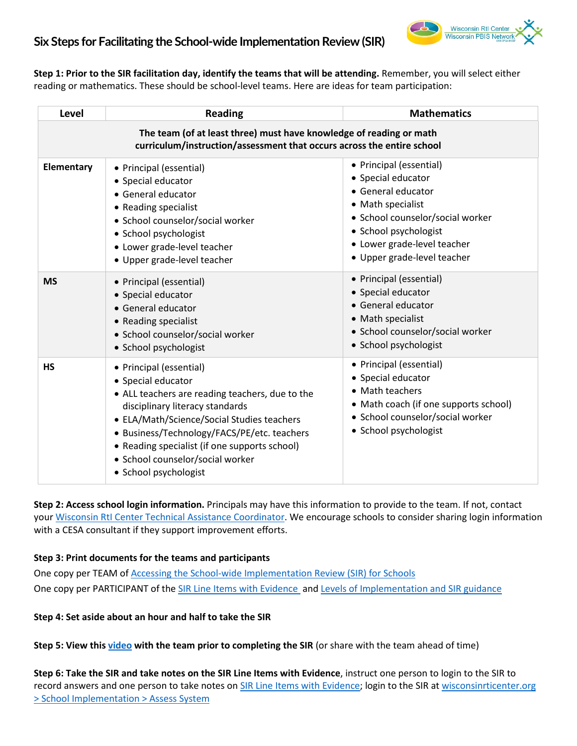

## **Six Steps for Facilitating the School-wide Implementation Review (SIR)**

**Step 1: Prior to the SIR facilitation day, identify the teams that will be attending.** Remember, you will select either reading or mathematics. These should be school-level teams. Here are ideas for team participation:

| Level                                                                                                                                         | <b>Reading</b>                                                                                                                                                                                                                                                                                                                                 | <b>Mathematics</b>                                                                                                                                                                                                  |
|-----------------------------------------------------------------------------------------------------------------------------------------------|------------------------------------------------------------------------------------------------------------------------------------------------------------------------------------------------------------------------------------------------------------------------------------------------------------------------------------------------|---------------------------------------------------------------------------------------------------------------------------------------------------------------------------------------------------------------------|
| The team (of at least three) must have knowledge of reading or math<br>curriculum/instruction/assessment that occurs across the entire school |                                                                                                                                                                                                                                                                                                                                                |                                                                                                                                                                                                                     |
| <b>Elementary</b>                                                                                                                             | • Principal (essential)<br>• Special educator<br>• General educator<br>• Reading specialist<br>· School counselor/social worker<br>• School psychologist<br>• Lower grade-level teacher<br>• Upper grade-level teacher                                                                                                                         | • Principal (essential)<br>• Special educator<br>• General educator<br>• Math specialist<br>• School counselor/social worker<br>• School psychologist<br>• Lower grade-level teacher<br>• Upper grade-level teacher |
| <b>MS</b>                                                                                                                                     | • Principal (essential)<br>• Special educator<br>• General educator<br>• Reading specialist<br>· School counselor/social worker<br>· School psychologist                                                                                                                                                                                       | • Principal (essential)<br>• Special educator<br>• General educator<br>• Math specialist<br>· School counselor/social worker<br>· School psychologist                                                               |
| <b>HS</b>                                                                                                                                     | • Principal (essential)<br>• Special educator<br>• ALL teachers are reading teachers, due to the<br>disciplinary literacy standards<br>• ELA/Math/Science/Social Studies teachers<br>· Business/Technology/FACS/PE/etc. teachers<br>• Reading specialist (if one supports school)<br>· School counselor/social worker<br>• School psychologist | • Principal (essential)<br>• Special educator<br>• Math teachers<br>• Math coach (if one supports school)<br>• School counselor/social worker<br>• School psychologist                                              |

**Step 2: Access school login information.** Principals may have this information to provide to the team. If not, contact your [Wisconsin RtI Center Technical Assistance Coordinator.](https://www.wisconsinrticenter.org/contact/) We encourage schools to consider sharing login information with a CESA consultant if they support improvement efforts.

## **Step 3: Print documents for the teams and participants**

One copy per TEAM of [Accessing the School-wide Implementation Review \(SIR\) for Schools](https://www.wisconsinrticenter.org/wp-content/uploads/2019/01/Accessing-the-SIR-for-schools-f.pdf) One copy per PARTICIPANT of the [SIR Line Items with Evidence](https://www.wisconsinrticenter.org/wp-content/uploads/2019/09/2.4-SIR-Evidence-Outline.docx) an[d Levels of Implementation and SIR guidance](https://www.wisconsinrticenter.org/wp-content/uploads/2019/02/Levels-of-Implementaion-and-SIR-Guidelines.pdf)

## **Step 4: Set aside about an hour and half to take the SIR**

**Step 5: View this [video](https://youtu.be/8QIDjO5J6Lo) with the team prior to completing the SIR** (or share with the team ahead of time)

**Step 6: Take the SIR and take notes on the SIR Line Items with Evidence**, instruct one person to login to the SIR to record answers and one person to take notes on [SIR Line Items with Evidence;](https://www.wisconsinrticenter.org/wp-content/uploads/2019/09/2.4-SIR-Evidence-Outline.docx) login to the SIR at wisconsinrticenter.org [> School Implementation > Assess System](https://www.wisconsinrticenter.org/school-implementation/assess-system/#assessments)